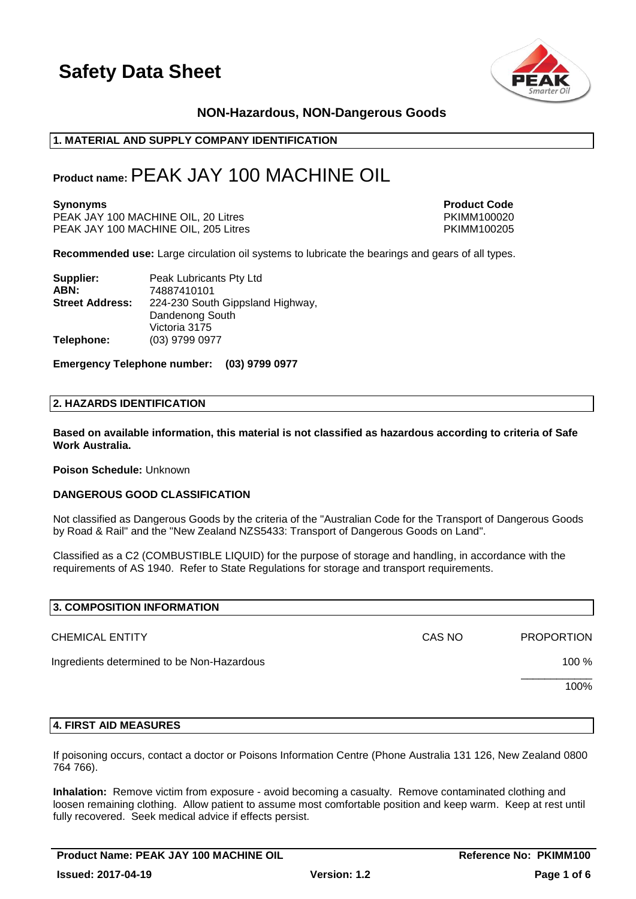

# **NON-Hazardous, NON-Dangerous Goods**

### **1. MATERIAL AND SUPPLY COMPANY IDENTIFICATION**

# **Product name:**PEAK JAY 100 MACHINE OIL

PEAK JAY 100 MACHINE OIL, 20 Litres PKIMM100020 PEAK JAY 100 MACHINE OIL, 205 Litres

**Synonyms Product Code** 

**Recommended use:** Large circulation oil systems to lubricate the bearings and gears of all types.

| Supplier:              | Peak Lubricants Pty Ltd          |
|------------------------|----------------------------------|
| ABN:                   | 74887410101                      |
| <b>Street Address:</b> | 224-230 South Gippsland Highway, |
|                        | Dandenong South                  |
|                        | Victoria 3175                    |
| Telephone:             | (03) 9799 0977                   |

**Emergency Telephone number: (03) 9799 0977**

### **2. HAZARDS IDENTIFICATION**

**Based on available information, this material is not classified as hazardous according to criteria of Safe Work Australia.**

**Poison Schedule:** Unknown

### **DANGEROUS GOOD CLASSIFICATION**

Not classified as Dangerous Goods by the criteria of the "Australian Code for the Transport of Dangerous Goods by Road & Rail" and the "New Zealand NZS5433: Transport of Dangerous Goods on Land".

Classified as a C2 (COMBUSTIBLE LIQUID) for the purpose of storage and handling, in accordance with the requirements of AS 1940. Refer to State Regulations for storage and transport requirements.

| 3. COMPOSITION INFORMATION                 |        |                   |
|--------------------------------------------|--------|-------------------|
| <b>CHEMICAL ENTITY</b>                     | CAS NO | <b>PROPORTION</b> |
| Ingredients determined to be Non-Hazardous |        | 100 %             |
|                                            |        | 100%              |
|                                            |        |                   |

### **4. FIRST AID MEASURES**

If poisoning occurs, contact a doctor or Poisons Information Centre (Phone Australia 131 126, New Zealand 0800 764 766).

**Inhalation:** Remove victim from exposure - avoid becoming a casualty. Remove contaminated clothing and loosen remaining clothing. Allow patient to assume most comfortable position and keep warm. Keep at rest until fully recovered. Seek medical advice if effects persist.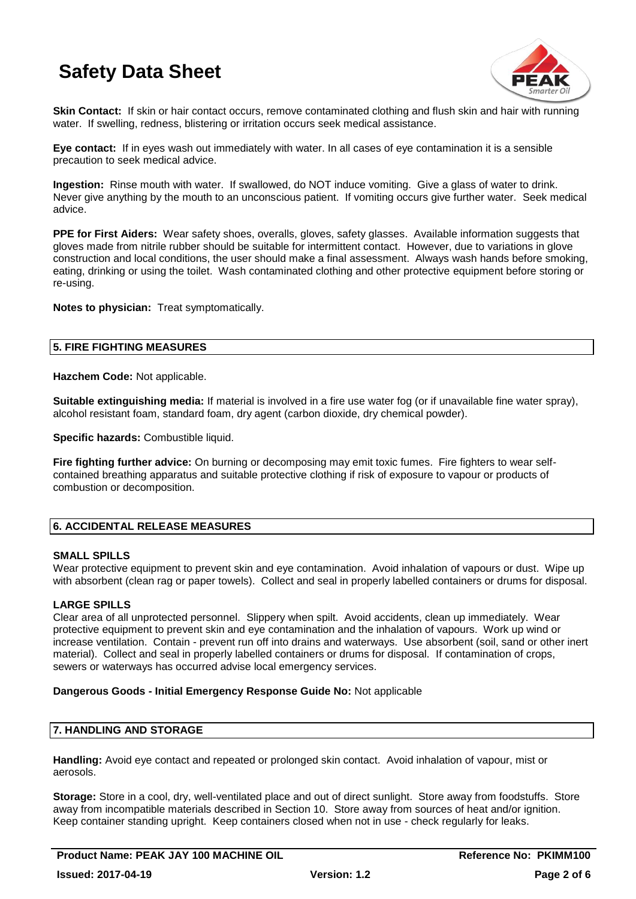

**Skin Contact:** If skin or hair contact occurs, remove contaminated clothing and flush skin and hair with running water. If swelling, redness, blistering or irritation occurs seek medical assistance.

**Eye contact:** If in eyes wash out immediately with water. In all cases of eye contamination it is a sensible precaution to seek medical advice.

**Ingestion:** Rinse mouth with water. If swallowed, do NOT induce vomiting. Give a glass of water to drink. Never give anything by the mouth to an unconscious patient. If vomiting occurs give further water. Seek medical advice.

**PPE for First Aiders:** Wear safety shoes, overalls, gloves, safety glasses. Available information suggests that gloves made from nitrile rubber should be suitable for intermittent contact. However, due to variations in glove construction and local conditions, the user should make a final assessment. Always wash hands before smoking, eating, drinking or using the toilet. Wash contaminated clothing and other protective equipment before storing or re-using.

**Notes to physician:** Treat symptomatically.

# **5. FIRE FIGHTING MEASURES**

**Hazchem Code:** Not applicable.

**Suitable extinguishing media:** If material is involved in a fire use water fog (or if unavailable fine water spray), alcohol resistant foam, standard foam, dry agent (carbon dioxide, dry chemical powder).

**Specific hazards:** Combustible liquid.

**Fire fighting further advice:** On burning or decomposing may emit toxic fumes. Fire fighters to wear selfcontained breathing apparatus and suitable protective clothing if risk of exposure to vapour or products of combustion or decomposition.

# **6. ACCIDENTAL RELEASE MEASURES**

# **SMALL SPILLS**

Wear protective equipment to prevent skin and eye contamination. Avoid inhalation of vapours or dust. Wipe up with absorbent (clean rag or paper towels). Collect and seal in properly labelled containers or drums for disposal.

# **LARGE SPILLS**

Clear area of all unprotected personnel. Slippery when spilt. Avoid accidents, clean up immediately. Wear protective equipment to prevent skin and eye contamination and the inhalation of vapours. Work up wind or increase ventilation. Contain - prevent run off into drains and waterways. Use absorbent (soil, sand or other inert material). Collect and seal in properly labelled containers or drums for disposal. If contamination of crops, sewers or waterways has occurred advise local emergency services.

# **Dangerous Goods - Initial Emergency Response Guide No:** Not applicable

# **7. HANDLING AND STORAGE**

**Handling:** Avoid eye contact and repeated or prolonged skin contact. Avoid inhalation of vapour, mist or aerosols.

**Storage:** Store in a cool, dry, well-ventilated place and out of direct sunlight. Store away from foodstuffs. Store away from incompatible materials described in Section 10. Store away from sources of heat and/or ignition. Keep container standing upright. Keep containers closed when not in use - check regularly for leaks.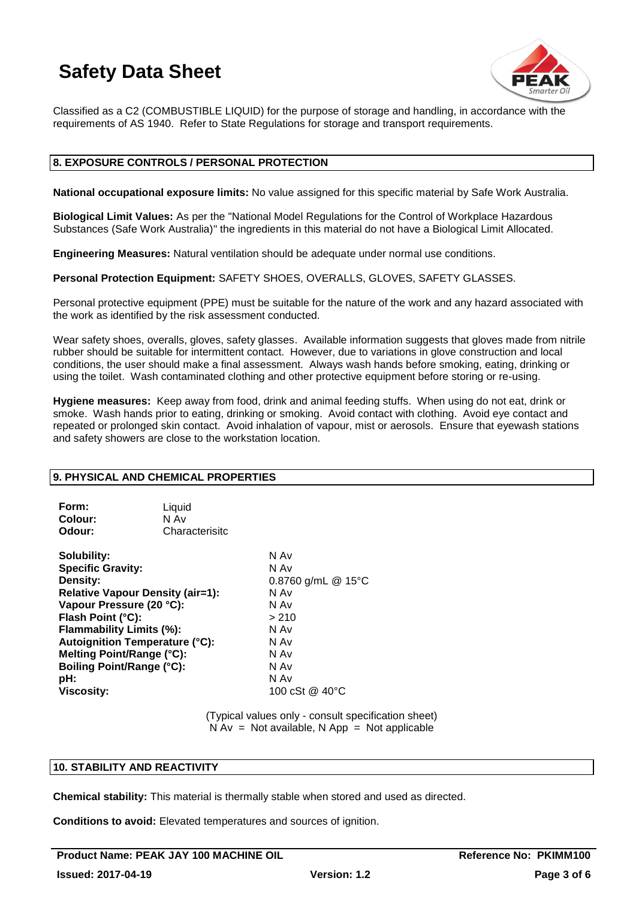

Classified as a C2 (COMBUSTIBLE LIQUID) for the purpose of storage and handling, in accordance with the requirements of AS 1940. Refer to State Regulations for storage and transport requirements.

# **8. EXPOSURE CONTROLS / PERSONAL PROTECTION**

**National occupational exposure limits:** No value assigned for this specific material by Safe Work Australia.

**Biological Limit Values:** As per the "National Model Regulations for the Control of Workplace Hazardous Substances (Safe Work Australia)" the ingredients in this material do not have a Biological Limit Allocated.

**Engineering Measures:** Natural ventilation should be adequate under normal use conditions.

**Personal Protection Equipment:** SAFETY SHOES, OVERALLS, GLOVES, SAFETY GLASSES.

Personal protective equipment (PPE) must be suitable for the nature of the work and any hazard associated with the work as identified by the risk assessment conducted.

Wear safety shoes, overalls, gloves, safety glasses. Available information suggests that gloves made from nitrile rubber should be suitable for intermittent contact. However, due to variations in glove construction and local conditions, the user should make a final assessment. Always wash hands before smoking, eating, drinking or using the toilet. Wash contaminated clothing and other protective equipment before storing or re-using.

**Hygiene measures:** Keep away from food, drink and animal feeding stuffs. When using do not eat, drink or smoke. Wash hands prior to eating, drinking or smoking. Avoid contact with clothing. Avoid eye contact and repeated or prolonged skin contact. Avoid inhalation of vapour, mist or aerosols. Ensure that eyewash stations and safety showers are close to the workstation location.

### **9. PHYSICAL AND CHEMICAL PROPERTIES**

| Form:   | Liquid         |
|---------|----------------|
| Colour: | N Av           |
| Odour:  | Characterisitc |

**Solubility:** N Av **Specific Gravity:** N Av **Density:** 0.8760 g/mL @ 15°C **Relative Vapour Density (air=1):** N Av **Vapour Pressure (20 °C):** N Av **Flash Point (°C):** > 210 **Flammability Limits (%):** N Av **Autoignition Temperature (°C):** N Av **Melting Point/Range (°C):** N Av **Boiling Point/Range (°C):**<br> **pH:** N Av **pH:** N Av **Viscosity:** 100 cSt @ 40°C

(Typical values only - consult specification sheet)  $N Av = Not available, N App = Not applicable$ 

# **10. STABILITY AND REACTIVITY**

**Chemical stability:** This material is thermally stable when stored and used as directed.

**Conditions to avoid:** Elevated temperatures and sources of ignition.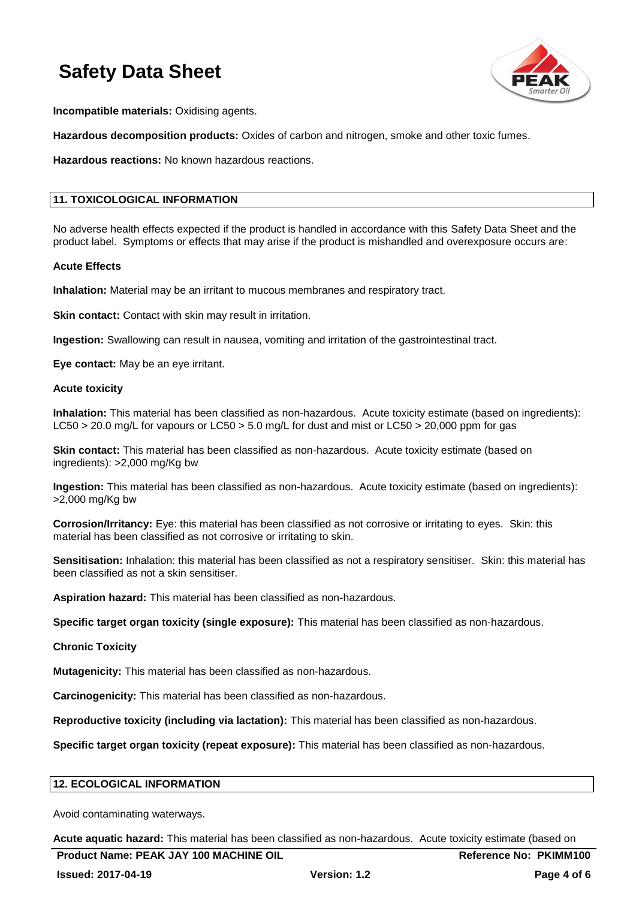

**Incompatible materials:** Oxidising agents.

**Hazardous decomposition products:** Oxides of carbon and nitrogen, smoke and other toxic fumes.

**Hazardous reactions:** No known hazardous reactions.

# **11. TOXICOLOGICAL INFORMATION**

No adverse health effects expected if the product is handled in accordance with this Safety Data Sheet and the product label. Symptoms or effects that may arise if the product is mishandled and overexposure occurs are:

### **Acute Effects**

**Inhalation:** Material may be an irritant to mucous membranes and respiratory tract.

**Skin contact:** Contact with skin may result in irritation.

**Ingestion:** Swallowing can result in nausea, vomiting and irritation of the gastrointestinal tract.

**Eye contact:** May be an eye irritant.

### **Acute toxicity**

**Inhalation:** This material has been classified as non-hazardous. Acute toxicity estimate (based on ingredients): LC50 > 20.0 mg/L for vapours or LC50 > 5.0 mg/L for dust and mist or LC50 > 20,000 ppm for gas

**Skin contact:** This material has been classified as non-hazardous. Acute toxicity estimate (based on ingredients): >2,000 mg/Kg bw

**Ingestion:** This material has been classified as non-hazardous. Acute toxicity estimate (based on ingredients): >2,000 mg/Kg bw

**Corrosion/Irritancy:** Eye: this material has been classified as not corrosive or irritating to eyes. Skin: this material has been classified as not corrosive or irritating to skin.

**Sensitisation:** Inhalation: this material has been classified as not a respiratory sensitiser. Skin: this material has been classified as not a skin sensitiser.

**Aspiration hazard:** This material has been classified as non-hazardous.

**Specific target organ toxicity (single exposure):** This material has been classified as non-hazardous.

### **Chronic Toxicity**

**Mutagenicity:** This material has been classified as non-hazardous.

**Carcinogenicity:** This material has been classified as non-hazardous.

**Reproductive toxicity (including via lactation):** This material has been classified as non-hazardous.

**Specific target organ toxicity (repeat exposure):** This material has been classified as non-hazardous.

# **12. ECOLOGICAL INFORMATION**

Avoid contaminating waterways.

**Acute aquatic hazard:** This material has been classified as non-hazardous. Acute toxicity estimate (based on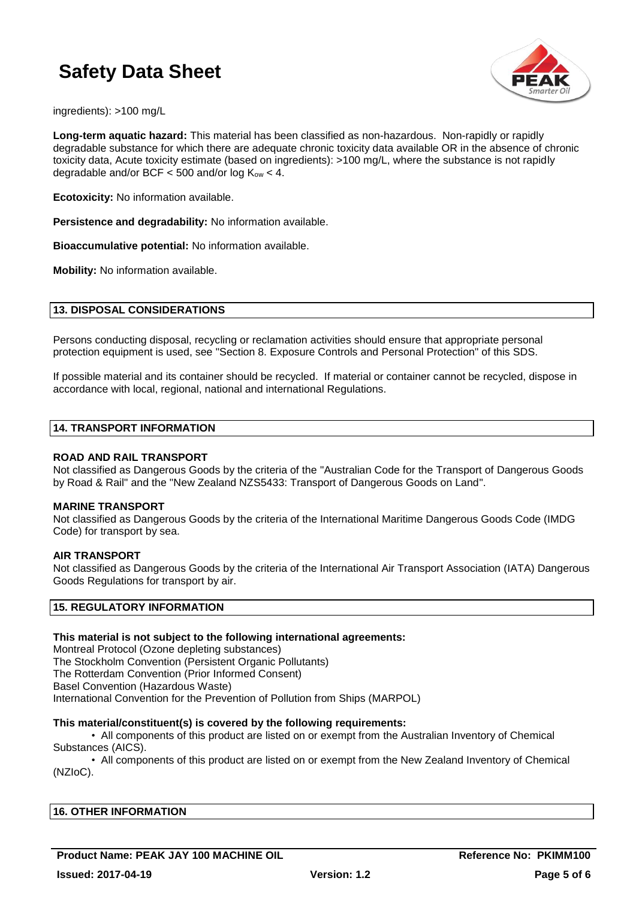

ingredients): >100 mg/L

**Long-term aquatic hazard:** This material has been classified as non-hazardous. Non-rapidly or rapidly degradable substance for which there are adequate chronic toxicity data available OR in the absence of chronic toxicity data, Acute toxicity estimate (based on ingredients): >100 mg/L, where the substance is not rapidly degradable and/or BCF  $<$  500 and/or log K<sub>ow</sub>  $<$  4.

**Ecotoxicity:** No information available.

**Persistence and degradability:** No information available.

**Bioaccumulative potential:** No information available.

**Mobility:** No information available.

### **13. DISPOSAL CONSIDERATIONS**

Persons conducting disposal, recycling or reclamation activities should ensure that appropriate personal protection equipment is used, see "Section 8. Exposure Controls and Personal Protection" of this SDS.

If possible material and its container should be recycled. If material or container cannot be recycled, dispose in accordance with local, regional, national and international Regulations.

### **14. TRANSPORT INFORMATION**

### **ROAD AND RAIL TRANSPORT**

Not classified as Dangerous Goods by the criteria of the "Australian Code for the Transport of Dangerous Goods by Road & Rail" and the "New Zealand NZS5433: Transport of Dangerous Goods on Land".

### **MARINE TRANSPORT**

Not classified as Dangerous Goods by the criteria of the International Maritime Dangerous Goods Code (IMDG Code) for transport by sea.

### **AIR TRANSPORT**

Not classified as Dangerous Goods by the criteria of the International Air Transport Association (IATA) Dangerous Goods Regulations for transport by air.

# **15. REGULATORY INFORMATION**

# **This material is not subject to the following international agreements:**

Montreal Protocol (Ozone depleting substances) The Stockholm Convention (Persistent Organic Pollutants) The Rotterdam Convention (Prior Informed Consent) Basel Convention (Hazardous Waste) International Convention for the Prevention of Pollution from Ships (MARPOL)

### **This material/constituent(s) is covered by the following requirements:**

• All components of this product are listed on or exempt from the Australian Inventory of Chemical Substances (AICS).

• All components of this product are listed on or exempt from the New Zealand Inventory of Chemical (NZIoC).

| <b>16. OTHER INFORMATION</b> |  |  |
|------------------------------|--|--|
|                              |  |  |

**Product Name: PEAK JAY 100 MACHINE OIL CONSUMING Reference No: PKIMM100**